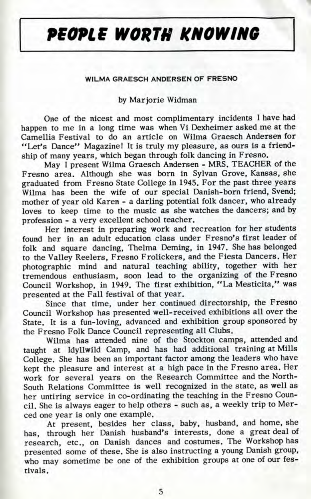## **PEOPLE WORTH KNOWING**

## **WILMA GRAESCH ANDERSEN OF FRESNO**

## by Mar jorie Widman

One of the nicest and most complimentary incidents I have had happen to me in a long time was when Vi Dexheimer asked me at the Camellia Festival to do an article on Wilma Graesch Andersen for "Let's Dance" Magazine! It is truly my pleasure, as ours is a friendship of many years, which began through folk dancing in Fresno.

May I present Wilma Graesch Andersen - MRS. TEACHER of the Fresno area. Although she was born in Sylvan Grove, Kansas, she graduated from Fresno State College in 1945. For the past three years Wilma has been the wife of our special Danish-born friend, Svend; mother of year old Karen - a darling potential folk dancer, who already loves to keep time to the music as she watches the dancers; and by profession - a very excellent school teacher.

Her interest in preparing work and recreation for her students found her in an adult education class under Fresno's first leader of folk and square dancing, Thelma Deming, in 1947. She has belonged to the Valley Reelers, Fresno Frolickers, and the Fiesta Dancers. Her photographic mind and natural teaching ability, together with her tremendous enthusiasm, soon lead to the organizing of the Fresno Council Workshop, in 1949. The first exhibition, "La Mesticita," was presented at the Fall festival of that year.

Since that time, under her continued directorship, the Fresno Council Workshop has presented well-received exhibitions all over the State. It is a fun-loving, advanced and exhibition group sponsored by the Fresno Folk Dance Council representing all Clubs.

Wilma has attended nine of the Stockton camps, attended and taught at Idyllwild Camp, and has had additional training at Mills College. She has been an important factor among the leaders who have kept the pleasure and interest at a high pace in the Fresno area. Her work for several years on the Research Committee and the North-South Relations Committee is well recognized in the state, as well as her untiring service in co-ordinating the teaching in the Fresno Council. She is always eager to help others - such as, a weekly trip to Merced one year is only one example.

At present, besides her class, baby, husband, and home, she has, through her Danish husband's interests, done a great deal of research, etc., on Danish dances and costumes. The Workshop has presented some of these. She is also instructing a young Danish group, who may sometime be one of the exhibition groups at one of our festivals.